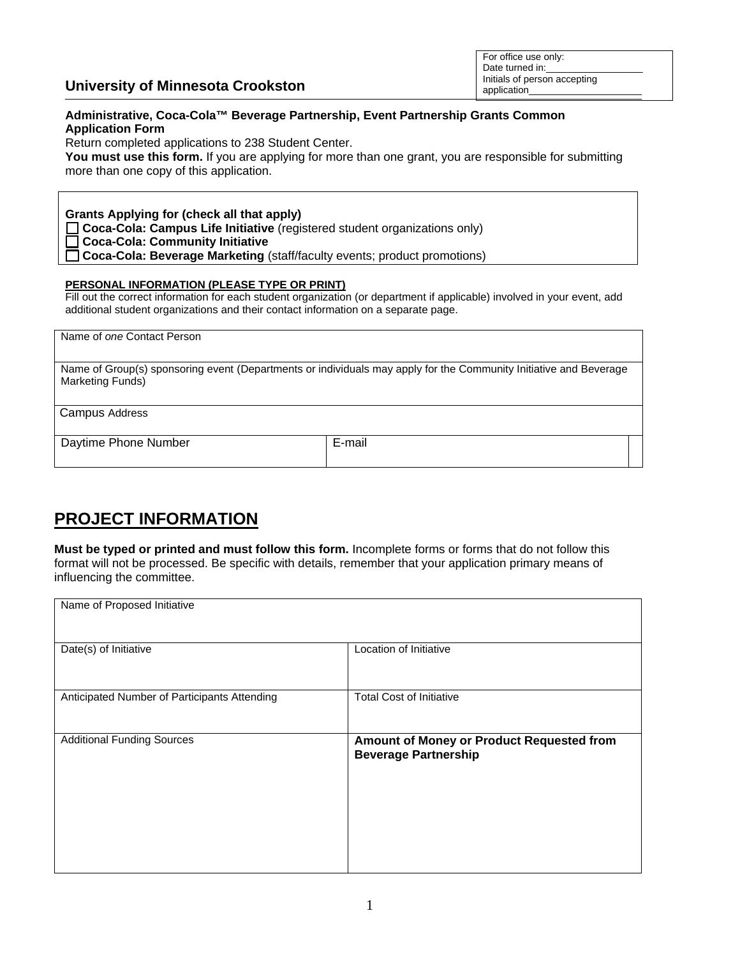|                                          | Initials of person accepting |
|------------------------------------------|------------------------------|
| <b>University of Minnesota Crookston</b> | application                  |

For office use only: Date turned in:

## **Administrative, Coca-Cola™ Beverage Partnership, Event Partnership Grants Common Application Form**

Return completed applications to 238 Student Center.

You must use this form. If you are applying for more than one grant, you are responsible for submitting more than one copy of this application.

**Grants Applying for (check all that apply) Coca-Cola: Campus Life Initiative** (registered student organizations only) **Coca-Cola: Community Initiative Coca-Cola: Beverage Marketing** (staff/faculty events; product promotions)

## **PERSONAL INFORMATION (PLEASE TYPE OR PRINT)**

Fill out the correct information for each student organization (or department if applicable) involved in your event, add additional student organizations and their contact information on a separate page.

Name of *one* Contact Person

Name of Group(s) sponsoring event (Departments or individuals may apply for the Community Initiative and Beverage Marketing Funds)

Campus Address

Daytime Phone Number **E-mail** 

## **PROJECT INFORMATION**

**Must be typed or printed and must follow this form.** Incomplete forms or forms that do not follow this format will not be processed. Be specific with details, remember that your application primary means of influencing the committee.

| Name of Proposed Initiative                  |                                           |
|----------------------------------------------|-------------------------------------------|
|                                              |                                           |
|                                              |                                           |
|                                              |                                           |
| Date(s) of Initiative                        | Location of Initiative                    |
|                                              |                                           |
|                                              |                                           |
| Anticipated Number of Participants Attending | <b>Total Cost of Initiative</b>           |
|                                              |                                           |
|                                              |                                           |
| <b>Additional Funding Sources</b>            | Amount of Money or Product Requested from |
|                                              | <b>Beverage Partnership</b>               |
|                                              |                                           |
|                                              |                                           |
|                                              |                                           |
|                                              |                                           |
|                                              |                                           |
|                                              |                                           |
|                                              |                                           |
|                                              |                                           |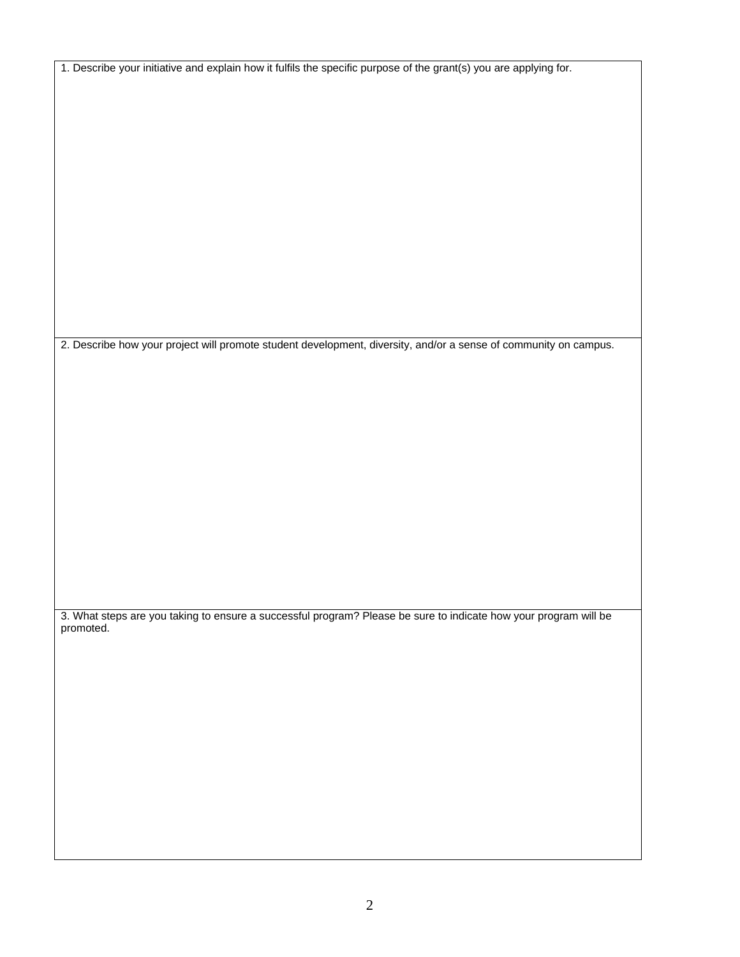1. Describe your initiative and explain how it fulfils the specific purpose of the grant(s) you are applying for.

2. Describe how your project will promote student development, diversity, and/or a sense of community on campus.

3. What steps are you taking to ensure a successful program? Please be sure to indicate how your program will be promoted.